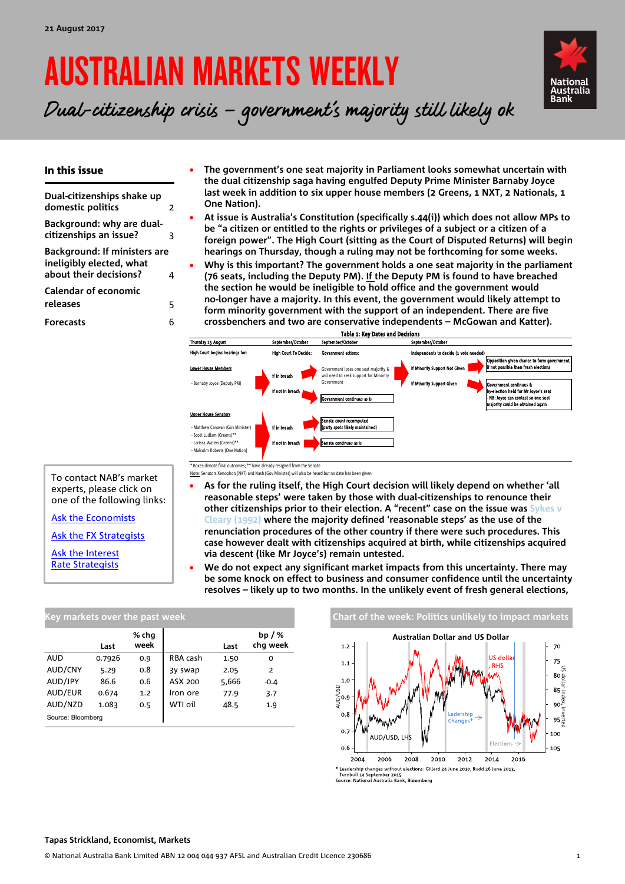# AUSTRALIAN MARKETS WEEKLY



Dual-citizenship crisis – government's majority still likely ok

### In this issue

**[Dual-citizenships shake up](#page-1-0)  [domestic politics](#page-1-0)** 2 **[Background: why are dual-](#page-2-0)**

**[citizenships an issue?](#page-2-0)** 3

**[Background: If ministers are](#page-3-0)  [ineligibly elected, what](#page-3-0)  [about their decisions?](#page-3-0)** 4

**[Calendar of economic](#page-4-0)  [releases](#page-4-0)** 5

**[Forecasts](#page-5-0)** 6

- **The government's one seat majority in Parliament looks somewhat uncertain with the dual citizenship saga having engulfed Deputy Prime Minister Barnaby Joyce last week in addition to six upper house members (2 Greens, 1 NXT, 2 Nationals, 1 One Nation).**
- **At issue is Australia's Constitution (specifically s.44(i)) which does not allow MPs to be "a citizen or entitled to the rights or privileges of a subject or a citizen of a foreign power". The High Court (sitting as the Court of Disputed Returns) will begin hearings on Thursday, though a ruling may not be forthcoming for some weeks.**
- **Why is this important? The government holds a one seat majority in the parliament (76 seats, including the Deputy PM). If the Deputy PM is found to have breached the section he would be ineligible to hold office and the government would no-longer have a majority. In this event, the government would likely attempt to form minority government with the support of an independent. There are five**
- **crossbenchers and two are conservative independents – McGowan and Katter).**



\* have already resigned from the Senat Note: Senators Xenophon (NXT) and Nash (Gov Minister) will also be heard but no date has been given

- **As for the ruling itself, the High Court decision will likely depend on whether 'all reasonable steps' were taken by those with dual-citizenships to renounce their other citizenships prior to their election. A "recent" case on the issue was [Sykes v](http://eresources.hcourt.gov.au/showbyHandle/1/231112)  [Cleary \(1992\)](http://eresources.hcourt.gov.au/showbyHandle/1/231112) where the majority defined 'reasonable steps' as the use of the renunciation procedures of the other country if there were such procedures. This case however dealt with citizenships acquired at birth, while citizenships acquired via descent (like Mr Joyce's) remain untested.**
- **We do not expect any significant market impacts from this uncertainty. There may be some knock on effect to business and consumer confidence until the uncertainty resolves – likely up to two months. In the unlikely event of fresh general elections,**

| Key markets over the past week |        |               |          |       |                      |  |  |  |  |  |  |  |
|--------------------------------|--------|---------------|----------|-------|----------------------|--|--|--|--|--|--|--|
|                                | Last   | % chq<br>week |          | Last  | bp $/$ %<br>chq week |  |  |  |  |  |  |  |
| <b>AUD</b>                     | 0.7926 | 0.9           | RBA cash | 1.50  | O                    |  |  |  |  |  |  |  |
| AUD/CNY                        | 5.29   | 0.8           | 3y swap  | 2.05  | 2                    |  |  |  |  |  |  |  |
| AUD/JPY                        | 86.6   | 0.6           | ASX 200  | 5,666 | $-0.4$               |  |  |  |  |  |  |  |
| AUD/EUR                        | 0.674  | 1.2           | Iron ore | 77.9  | 3.7                  |  |  |  |  |  |  |  |
| AUD/NZD                        | 1.083  | 0.5           | WTI oil  | 48.5  | 1.9                  |  |  |  |  |  |  |  |
| Source: Bloomberg              |        |               |          |       |                      |  |  |  |  |  |  |  |

#### **Chart of the week: Politics unlikely to impact markets Australian Dollar and US Dollar**  $70$  $1.2$ doll  $75$  $1.1$  $80\frac{8}{9}$ **85**<br>Bosing<br>90<sup>3</sup> edershir  $95\frac{8}{9}$  $0.7$ 10C AUD/USD, LHS 105  $2012$ 2004 2006 2008  $2010$ 2014 2016 t Leadership changes without elections: Gillard 24 June 2010, Rudd 26 June 2013,<br>Turnbull 14 September 2015<br>Source: National Australia Bank, Bloomberg

To contact NAB's market

experts, please click on one of the following links:

[Ask the Economists](mailto:Ivan.Colhoun@nab.com.au;%20David.deGaris@nab.com.au;%20Tapas.Strickland@nab.com.au?subject=Economics%20enquiry%20from%20AMW)

[Ask the FX Strategists](mailto:Ray.Attrill@nab.com.au;Rodrigo.H.Catril@nab.com.au?subject=FX%20enquiry%20from%20AMW)

[Ask the Interest](mailto:Skye.Masters@nab.com.au;Alex.Stanley@nab.com.au?subject=Interest%20Rate%20enquiry%20from%20AMW)  [Rate Strategists](mailto:Skye.Masters@nab.com.au;Alex.Stanley@nab.com.au?subject=Interest%20Rate%20enquiry%20from%20AMW)

#### **Tapas Strickland, Economist, Markets**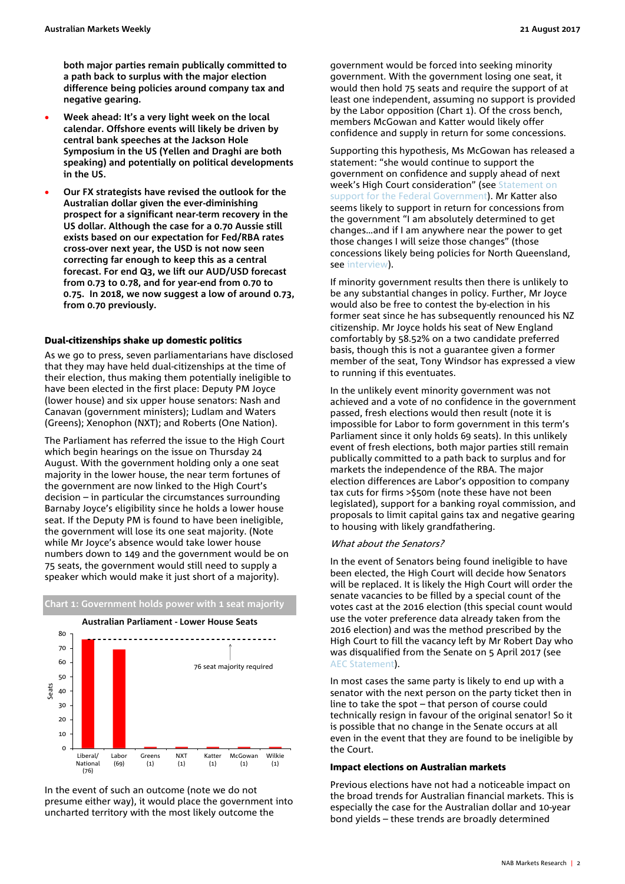<span id="page-1-0"></span>**both major parties remain publically committed to a path back to surplus with the major election difference being policies around company tax and negative gearing.**

- **Week ahead: It's a very light week on the local calendar. Offshore events will likely be driven by central bank speeches at the Jackson Hole Symposium in the US (Yellen and Draghi are both speaking) and potentially on political developments in the US.**
- **Our FX strategists have revised the outlook for the Australian dollar given the ever-diminishing prospect for a significant near-term recovery in the US dollar. Although the case for a 0.70 Aussie still exists based on our expectation for Fed/RBA rates cross-over next year, the USD is not now seen correcting far enough to keep this as a central forecast. For end Q3, we lift our AUD/USD forecast from 0.73 to 0.78, and for year-end from 0.70 to 0.75. In 2018, we now suggest a low of around 0.73, from 0.70 previously.**

#### Dual-citizenships shake up domestic politics

As we go to press, seven parliamentarians have disclosed that they may have held dual-citizenships at the time of their election, thus making them potentially ineligible to have been elected in the first place: Deputy PM Joyce (lower house) and six upper house senators: Nash and Canavan (government ministers); Ludlam and Waters (Greens); Xenophon (NXT); and Roberts (One Nation).

The Parliament has referred the issue to the High Court which begin hearings on the issue on Thursday 24 August. With the government holding only a one seat majority in the lower house, the near term fortunes of the government are now linked to the High Court's decision – in particular the circumstances surrounding Barnaby Joyce's eligibility since he holds a lower house seat. If the Deputy PM is found to have been ineligible, the government will lose its one seat majority. (Note while Mr Joyce's absence would take lower house numbers down to 149 and the government would be on 75 seats, the government would still need to supply a speaker which would make it just short of a majority).



In the event of such an outcome (note we do not presume either way), it would place the government into uncharted territory with the most likely outcome the

government would be forced into seeking minority government. With the government losing one seat, it would then hold 75 seats and require the support of at least one independent, assuming no support is provided by the Labor opposition (Chart 1). Of the cross bench, members McGowan and Katter would likely offer confidence and supply in return for some concessions.

Supporting this hypothesis, Ms McGowan has released a statement: "she would continue to support the government on confidence and supply ahead of next week's High Court consideration" (see [Statement on](http://www.cathymcgowan.com.au/statement_on_support_for_the_federal_government)  [support for the Federal Government\)](http://www.cathymcgowan.com.au/statement_on_support_for_the_federal_government). Mr Katter also seems likely to support in return for concessions from the government "I am absolutely determined to get changes…and if I am anywhere near the power to get those changes I will seize those changes" (those concessions likely being policies for North Queensland, see [interview\)](http://www.skynews.com.au/news/top-stories/2017/08/15/katter-won-t-guarantee-supply-to-government.html).

If minority government results then there is unlikely to be any substantial changes in policy. Further, Mr Joyce would also be free to contest the by-election in his former seat since he has subsequently renounced his NZ citizenship. Mr Joyce holds his seat of New England comfortably by 58.52% on a two candidate preferred basis, though this is not a guarantee given a former member of the seat, Tony Windsor has expressed a view to running if this eventuates.

In the unlikely event minority government was not achieved and a vote of no confidence in the government passed, fresh elections would then result (note it is impossible for Labor to form government in this term's Parliament since it only holds 69 seats). In this unlikely event of fresh elections, both major parties still remain publically committed to a path back to surplus and for markets the independence of the RBA. The major election differences are Labor's opposition to company tax cuts for firms >\$50m (note these have not been legislated), support for a banking royal commission, and proposals to limit capital gains tax and negative gearing to housing with likely grandfathering.

#### What about the Senators?

In the event of Senators being found ineligible to have been elected, the High Court will decide how Senators will be replaced. It is likely the High Court will order the senate vacancies to be filled by a special count of the votes cast at the 2016 election (this special count would use the voter preference data already taken from the 2016 election) and was the method prescribed by the High Court to fill the vacancy left by Mr Robert Day who was disqualified from the Senate on 5 April 2017 (see [AEC Statement\)](http://www.aec.gov.au/media/media-releases/2017/04-11.htm).

In most cases the same party is likely to end up with a senator with the next person on the party ticket then in line to take the spot – that person of course could technically resign in favour of the original senator! So it is possible that no change in the Senate occurs at all even in the event that they are found to be ineligible by the Court.

#### Impact elections on Australian markets

Previous elections have not had a noticeable impact on the broad trends for Australian financial markets. This is especially the case for the Australian dollar and 10-year bond yields – these trends are broadly determined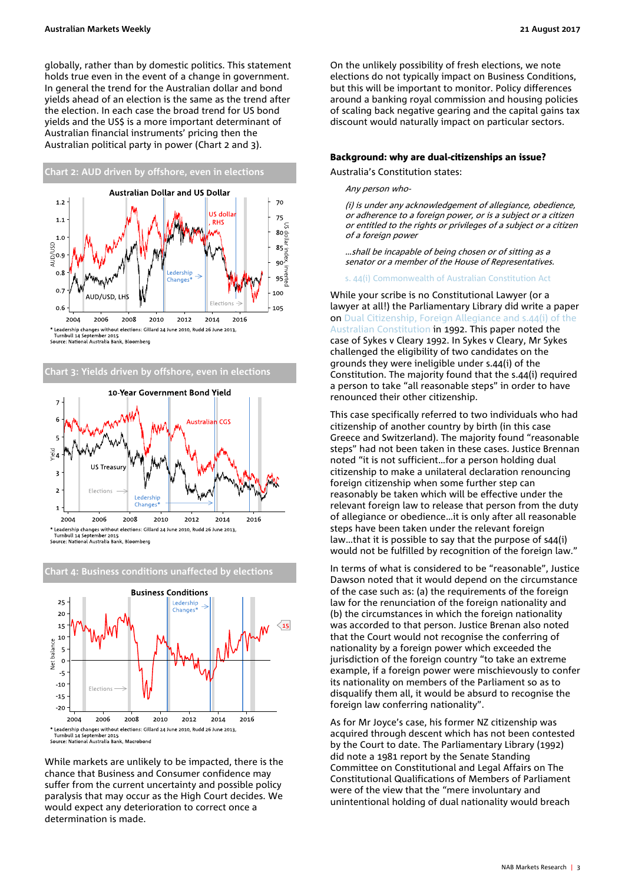globally, rather than by domestic politics. This statement holds true even in the event of a change in government. In general the trend for the Australian dollar and bond yields ahead of an election is the same as the trend after the election. In each case the broad trend for US bond yields and the US\$ is a more important determinant of Australian financial instruments' pricing then the Australian political party in power (Chart 2 and 3).







**Chart 4: Business conditions unaffected by elections**

<span id="page-2-0"></span>While markets are unlikely to be impacted, there is the chance that Business and Consumer confidence may suffer from the current uncertainty and possible policy paralysis that may occur as the High Court decides. We would expect any deterioration to correct once a determination is made.

On the unlikely possibility of fresh elections, we note elections do not typically impact on Business Conditions, but this will be important to monitor. Policy differences around a banking royal commission and housing policies of scaling back negative gearing and the capital gains tax discount would naturally impact on particular sectors.

## Background: why are dual-citizenships an issue?

Australia's Constitution states:

#### Any person who-

(i) is under any acknowledgement of allegiance, obedience, or adherence to a foreign power, or is a subject or a citizen or entitled to the rights or privileges of a subject or a citizen of a foreign power

…shall be incapable of being chosen or of sitting as a senator or a member of the House of Representatives.

[s. 44\(i\) Commonwealth of Australian Constitution Act](http://www.aph.gov.au/About_Parliament/Senate/Powers_practice_n_procedures/%7E/link.aspx?_id=074367F0015D42C2B005207F5642376A&_z=z#chapter-01_part-04_44)

While your scribe is no Constitutional Lawyer (or a lawyer at all!) the Parliamentary Library did write a paper on [Dual Citizenship, Foreign Allegiance and s.44\(i\) of the](http://www.aph.gov.au/binaries/library/pubs/bp/1992/92bp29.pdf)  [Australian Constitution](http://www.aph.gov.au/binaries/library/pubs/bp/1992/92bp29.pdf) in 1992. This paper noted the case of Sykes v Cleary 1992. In Sykes v Cleary, Mr Sykes challenged the eligibility of two candidates on the grounds they were ineligible under s.44(i) of the Constitution. The majority found that the s.44(i) required a person to take "all reasonable steps" in order to have renounced their other citizenship.

This case specifically referred to two individuals who had citizenship of another country by birth (in this case Greece and Switzerland). The majority found "reasonable steps" had not been taken in these cases. Justice Brennan noted "it is not sufficient…for a person holding dual citizenship to make a unilateral declaration renouncing foreign citizenship when some further step can reasonably be taken which will be effective under the relevant foreign law to release that person from the duty of allegiance or obedience…it is only after all reasonable steps have been taken under the relevant foreign law…that it is possible to say that the purpose of s44(i) would not be fulfilled by recognition of the foreign law."

In terms of what is considered to be "reasonable", Justice Dawson noted that it would depend on the circumstance of the case such as: (a) the requirements of the foreign law for the renunciation of the foreign nationality and (b) the circumstances in which the foreign nationality was accorded to that person. Justice Brenan also noted that the Court would not recognise the conferring of nationality by a foreign power which exceeded the jurisdiction of the foreign country "to take an extreme example, if a foreign power were mischievously to confer its nationality on members of the Parliament so as to disqualify them all, it would be absurd to recognise the foreign law conferring nationality".

As for Mr Joyce's case, his former NZ citizenship was acquired through descent which has not been contested by the Court to date. The Parliamentary Library (1992) did note a 1981 report by the Senate Standing Committee on Constitutional and Legal Affairs on The Constitutional Qualifications of Members of Parliament were of the view that the "mere involuntary and unintentional holding of dual nationality would breach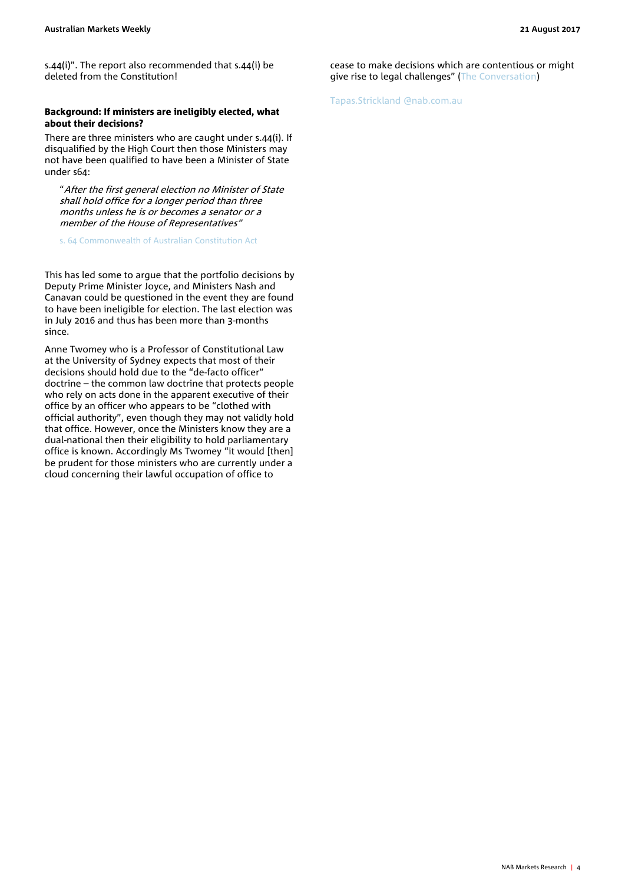s.44(i)". The report also recommended that s.44(i) be deleted from the Constitution!

#### <span id="page-3-0"></span>Background: If ministers are ineligibly elected, what about their decisions?

There are three ministers who are caught under s.44(i). If disqualified by the High Court then those Ministers may not have been qualified to have been a Minister of State under s64:

"After the first general election no Minister of State shall hold office for a longer period than three months unless he is or becomes a senator or a member of the House of Representatives"

[s. 64 Commonwealth of Australian Constitution Act](http://www.aph.gov.au/About_Parliament/Senate/Powers_practice_n_procedures/%7E/%7E/%7E/link.aspx?_id=1A1B66A3736843429A99D8F6D0F67FDB&_z=z)

This has led some to argue that the portfolio decisions by Deputy Prime Minister Joyce, and Ministers Nash and Canavan could be questioned in the event they are found to have been ineligible for election. The last election was in July 2016 and thus has been more than 3-months since.

Anne Twomey who is a Professor of Constitutional Law at the University of Sydney expects that most of their decisions should hold due to the "de-facto officer" doctrine – the common law doctrine that protects people who rely on acts done in the apparent executive of their office by an officer who appears to be "clothed with official authority", even though they may not validly hold that office. However, once the Ministers know they are a dual-national then their eligibility to hold parliamentary office is known. Accordingly Ms Twomey "it would [then] be prudent for those ministers who are currently under a cloud concerning their lawful occupation of office to

cease to make decisions which are contentious or might give rise to legal challenges" [\(The Conversation\)](https://theconversation.com/if-high-court-decides-against-ministers-with-dual-citizenship-could-their-decisions-in-office-be-challenged-82688)

[Tapas.Strickland](mailto:David.deGaris@nab.com.au) @nab.com.au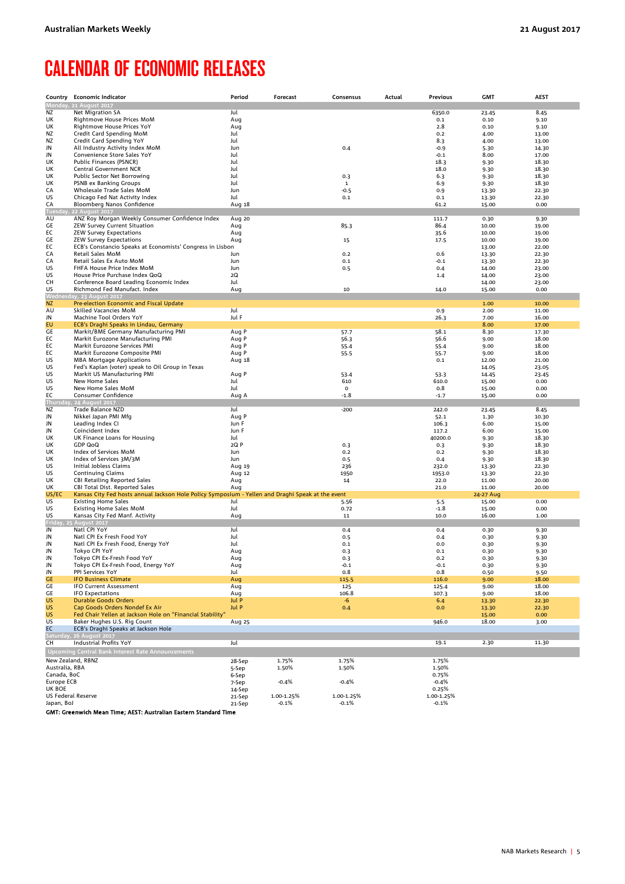# <span id="page-4-0"></span>CALENDAR OF ECONOMIC RELEASES

| Country                          | <b>Economic Indicator</b>                                                                         | Period           | Forecast              | Consensus             | Actual | Previous              | <b>GMT</b>     | <b>AEST</b>    |
|----------------------------------|---------------------------------------------------------------------------------------------------|------------------|-----------------------|-----------------------|--------|-----------------------|----------------|----------------|
|                                  | Monday, 21 August 2017                                                                            |                  |                       |                       |        |                       |                |                |
| ΝZ                               | Net Migration SA                                                                                  | Jul              |                       |                       |        | 6350.0                | 23.45          | 8.45           |
| UK                               | Rightmove House Prices MoM                                                                        | Aug              |                       |                       |        | 0.1                   | 0.10           | 9.10           |
| UK                               | Rightmove House Prices YoY                                                                        | Aug              |                       |                       |        | 2.8                   | 0.10           | 9.10           |
| ΝZ                               | Credit Card Spending MoM                                                                          | Jul              |                       |                       |        | 0.2                   | 4.00           | 13.00          |
| ΝZ<br>JN                         | Credit Card Spending YoY<br>All Industry Activity Index MoM                                       | Jul<br>Jun       |                       | 0.4                   |        | 8.3<br>$-0.9$         | 4.00<br>5.30   | 13.00<br>14.30 |
| JN                               | Convenience Store Sales YoY                                                                       | Jul              |                       |                       |        | $-0.1$                | 8.00           | 17.00          |
| UK                               | Public Finances (PSNCR)                                                                           | Jul              |                       |                       |        | 18.3                  | 9.30           | 18.30          |
| UK                               | Central Government NCR                                                                            | Jul              |                       |                       |        | 18.0                  | 9.30           | 18.30          |
| UK                               | Public Sector Net Borrowing                                                                       | Jul              |                       | 0.3                   |        | 6.3                   | 9.30           | 18.30          |
| UK                               | PSNB ex Banking Groups                                                                            | Jul              |                       | $\mathbf{1}$          |        | 6.9                   | 9.30           | 18.30          |
| CA                               | Wholesale Trade Sales MoM                                                                         | Jun              |                       | $-0.5$                |        | 0.9                   | 13.30          | 22.30          |
| US                               | Chicago Fed Nat Activity Index                                                                    | Jul              |                       | 0.1                   |        | 0.1<br>61.2           | 13.30<br>15.00 | 22.30<br>0.00  |
| CA                               | Bloomberg Nanos Confidence<br>Tuesday, 22 August 2017                                             | Aug 18           |                       |                       |        |                       |                |                |
| AU                               | ANZ Roy Morgan Weekly Consumer Confidence Index                                                   | Aug 20           |                       |                       |        | 111.7                 | 0.30           | 9.30           |
| GE                               | ZEW Survey Current Situation                                                                      | Aug              |                       | 85.3                  |        | 86.4                  | 10.00          | 19.00          |
| EC                               | <b>ZEW Survey Expectations</b>                                                                    | Aug              |                       |                       |        | 35.6                  | 10.00          | 19.00          |
| GE                               | <b>ZEW Survey Expectations</b>                                                                    | Aug              |                       | 15                    |        | 17.5                  | 10.00          | 19.00          |
| ЕC                               | ECB's Constancio Speaks at Economists' Congress in Lisbon                                         |                  |                       |                       |        |                       | 13.00          | 22.00          |
| CA                               | Retail Sales MoM                                                                                  | Jun              |                       | 0.2                   |        | 0.6                   | 13.30          | 22.30          |
| CA<br>US                         | Retail Sales Ex Auto MoM<br>FHFA House Price Index MoM                                            | Jun<br>Jun       |                       | 0.1                   |        | $-0.1$<br>0.4         | 13.30<br>14.00 | 22.30<br>23.00 |
| US                               | House Price Purchase Index QoQ                                                                    | 2Q               |                       | 0.5                   |        | 1.4                   | 14.00          | 23.00          |
| CН                               | Conference Board Leading Economic Index                                                           | Jul              |                       |                       |        |                       | 14.00          | 23.00          |
| US                               | Richmond Fed Manufact. Index                                                                      | Aug              |                       | 10                    |        | 14.0                  | 15.00          | 0.00           |
|                                  | Wednesday, 23 August 2017                                                                         |                  |                       |                       |        |                       |                |                |
| <b>NZ</b>                        | Pre-election Economic and Fiscal Update                                                           |                  |                       |                       |        |                       | 1.00           | 10.00          |
| AU                               | Skilled Vacancies MoM                                                                             | Jul              |                       |                       |        | 0.9                   | 2.00           | 11.00          |
| JN                               | Machine Tool Orders YoY                                                                           | Jul F            |                       |                       |        | 26.3                  | 7.00           | 16.00          |
| EU                               | ECB's Draghi Speaks in Lindau, Germany                                                            |                  |                       |                       |        |                       | 8.00           | 17.00          |
| GE<br>EC                         | Markit/BME Germany Manufacturing PMI<br>Markit Eurozone Manufacturing PMI                         | Aug P<br>Aug P   |                       | 57.7<br>56.3          |        | 58.1<br>56.6          | 8.30<br>9.00   | 17.30<br>18.00 |
| EC                               | Markit Eurozone Services PMI                                                                      | Aug P            |                       | 55.4                  |        | 55.4                  | 9.00           | 18.00          |
| ЕC                               | Markit Eurozone Composite PMI                                                                     | Aug P            |                       | 55.5                  |        | 55.7                  | 9.00           | 18.00          |
| US                               | <b>MBA Mortgage Applications</b>                                                                  | Aug 18           |                       |                       |        | 0.1                   | 12.00          | 21.00          |
| US                               | Fed's Kaplan (voter) speak to Oil Group in Texas                                                  |                  |                       |                       |        |                       | 14.05          | 23.05          |
| US                               | Markit US Manufacturing PMI                                                                       | Aug P            |                       | 53.4                  |        | 53.3                  | 14.45          | 23.45          |
| US                               | New Home Sales                                                                                    | Jul              |                       | 610                   |        | 610.0                 | 15.00          | 0.00           |
| US                               | New Home Sales MoM                                                                                | Jul              |                       | 0                     |        | 0.8                   | 15.00          | 0.00           |
| EC                               | Consumer Confidence                                                                               | Aug A            |                       | $-1.8$                |        | $-1.7$                | 15.00          | 0.00           |
| Thursday<br>NZ                   | , 24 August 2017<br>Trade Balance NZD                                                             | Jul              |                       | $-200$                |        | 242.0                 | 23.45          | 8.45           |
| JN                               | Nikkei Japan PMI Mfg                                                                              | Aug P            |                       |                       |        | 52.1                  | 1.30           | 10.30          |
| JN                               | Leading Index CI                                                                                  | Jun F            |                       |                       |        | 106.3                 | 6.00           | 15.00          |
| JN                               | Coincident Index                                                                                  | Jun F            |                       |                       |        | 117.2                 | 6.00           | 15.00          |
| UK                               | UK Finance Loans for Housing                                                                      | Jul              |                       |                       |        | 40200.0               | 9.30           | 18.30          |
| UK                               | <b>GDP QoQ</b>                                                                                    | 2Q P             |                       | 0.3                   |        | 0.3                   | 9.30           | 18.30          |
| UK                               | Index of Services MoM                                                                             | Jun              |                       | 0.2                   |        | 0.2                   | 9.30           | 18.30          |
| UK                               | Index of Services 3M/3M                                                                           | Jun              |                       | 0.5                   |        | 0.4                   | 9.30           | 18.30          |
| US                               | Initial Jobless Claims                                                                            | Aug 19           |                       | 236                   |        | 232.0                 | 13.30          | 22.30          |
| US<br>UK                         | <b>Continuing Claims</b>                                                                          | Aug 12           |                       | 1950<br>14            |        | 1953.0<br>22.0        | 13.30<br>11.00 | 22.30<br>20.00 |
| UK                               | <b>CBI Retailing Reported Sales</b><br>CBI Total Dist. Reported Sales                             | Aug<br>Aug       |                       |                       |        | 21.0                  | 11.00          | 20.00          |
| US/EC                            | Kansas City Fed hosts annual Jackson Hole Policy Symposium - Yellen and Draghi Speak at the event |                  |                       |                       |        |                       | 24-27 Aug      |                |
| US                               | <b>Existing Home Sales</b>                                                                        | Jul              |                       | 5.56                  |        | 5.5                   | 15.00          | 0.00           |
| US                               | Existing Home Sales MoM                                                                           | Jul              |                       | 0.72                  |        | $-1.8$                | 15.00          | 0.00           |
| US                               | Kansas City Fed Manf. Activity                                                                    | Aug              |                       | 11                    |        | 10.0                  | 16.00          | 1.00           |
|                                  | Friday, 25 August 2017                                                                            |                  |                       |                       |        |                       |                |                |
| JN                               | Natl CPI YoY                                                                                      | Jul              |                       | 0.4                   |        | 0.4                   | 0.30           | 9.30           |
| JN<br>JN                         | Natl CPI Ex Fresh Food YoY<br>Natl CPI Ex Fresh Food, Energy YoY                                  | Jul<br>Jul       |                       | 0.5<br>0.1            |        | 0.4<br>0.0            | 0.30<br>0.30   | 9.30<br>9.30   |
| JN                               | Tokyo CPI YoY                                                                                     | Aug              |                       | 0.3                   |        | 0.1                   | 0.30           | 9.30           |
| JN                               | Tokyo CPI Ex-Fresh Food YoY                                                                       | Aug              |                       | 0.3                   |        | 0.2                   | 0.30           | 9.30           |
| JN                               | Tokyo CPI Ex-Fresh Food, Energy YoY                                                               | Aug              |                       | $-0.1$                |        | $-0.1$                | 0.30           | 9.30           |
| JN                               | PPI Services YoY                                                                                  | Jul              |                       | 0.8                   |        | 0.8                   | 0.50           | 9.50           |
| <b>GE</b>                        | <b>IFO Business Climate</b>                                                                       | Aug              |                       | 115.5                 |        | 116.0                 | 9.00           | 18.00          |
| GE                               | <b>IFO Current Assessment</b>                                                                     | Aug              |                       | 125                   |        | 125.4                 | 9.00           | 18.00          |
| <b>GE</b>                        | <b>IFO Expectations</b>                                                                           | Aug              |                       | 106.8<br>-6           |        | 107.3<br>6.4          | 9.00           | 18.00<br>22.30 |
| <b>US</b><br><b>US</b>           | <b>Durable Goods Orders</b><br>Cap Goods Orders Nondef Ex Air                                     | Jul P<br>Jul P   |                       | 0.4                   |        | 0.0                   | 13.30<br>13.30 | 22.30          |
| <b>US</b>                        | Fed Chair Yellen at Jackson Hole on "Financial Stability"                                         |                  |                       |                       |        |                       | 15.00          | 0.00           |
| US                               | Baker Hughes U.S. Rig Count                                                                       | Aug 25           |                       |                       |        | 946.0                 | 18.00          | 3.00           |
| EC                               | ECB's Draghi Speaks at Jackson Hole                                                               |                  |                       |                       |        |                       |                |                |
|                                  | Saturday, 26 August 2017                                                                          |                  |                       |                       |        |                       |                |                |
| CН                               | <b>Industrial Profits YoY</b>                                                                     | Jul              |                       |                       |        | 19.1                  | 2.30           | 11.30          |
|                                  | Upcoming Central Bank Interest Rate Announcements                                                 |                  |                       |                       |        |                       |                |                |
| New Zealand, RBNZ                |                                                                                                   | 28-Sep           | 1.75%                 | 1.75%                 |        | 1.75%                 |                |                |
| Australia, RBA                   |                                                                                                   | 5-Sep            | 1.50%                 | 1.50%                 |        | 1.50%                 |                |                |
| Canada, BoC                      |                                                                                                   | 6-Sep            |                       |                       |        | 0.75%                 |                |                |
| Europe ECB                       |                                                                                                   | 7-Sep            | $-0.4%$               | $-0.4%$               |        | $-0.4%$               |                |                |
| UK BOE                           |                                                                                                   | 14-Sep           |                       |                       |        | 0.25%                 |                |                |
| US Federal Reserve<br>Japan, BoJ |                                                                                                   | 21-Sep<br>21-Sep | 1.00-1.25%<br>$-0.1%$ | 1.00-1.25%<br>$-0.1%$ |        | 1.00-1.25%<br>$-0.1%$ |                |                |
|                                  |                                                                                                   |                  |                       |                       |        |                       |                |                |

GMT: Greenwich Mean Time; AEST: Australian Eastern Standard Time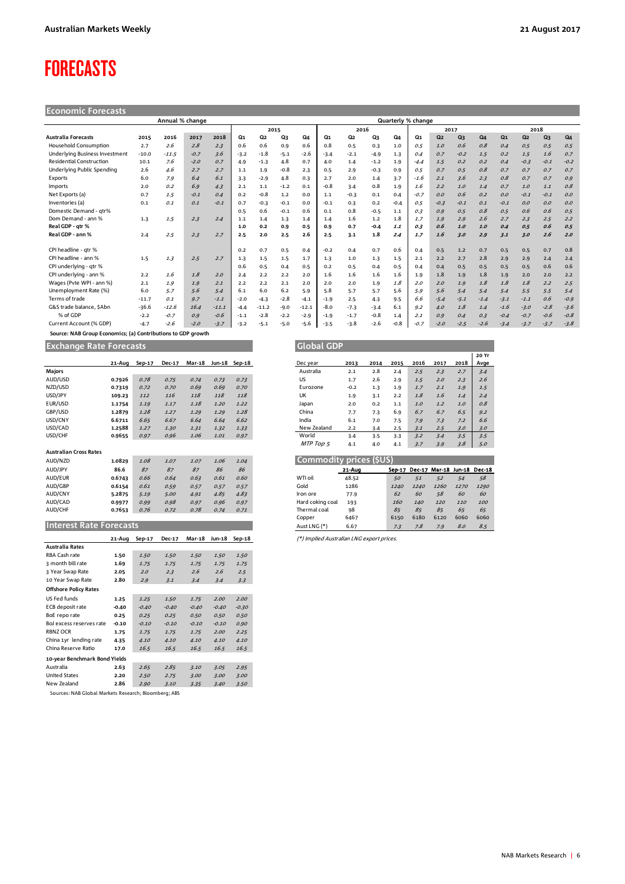# <span id="page-5-0"></span>FORECASTS

| <b>Economic Forecasts</b>                                    |         |                 |        |         |                    |                |        |         |        |        |        |        |        |                |                |                |                |                |                |        |
|--------------------------------------------------------------|---------|-----------------|--------|---------|--------------------|----------------|--------|---------|--------|--------|--------|--------|--------|----------------|----------------|----------------|----------------|----------------|----------------|--------|
|                                                              |         | Annual % change |        |         | Quarterly % change |                |        |         |        |        |        |        |        |                |                |                |                |                |                |        |
|                                                              |         |                 |        |         |                    |                | 2015   |         |        | 2016   |        |        | 2017   |                |                |                | 2018           |                |                |        |
| <b>Australia Forecasts</b>                                   | 2015    | 2016            | 2017   | 2018    | Q1                 | Q <sub>2</sub> | Q3     | Q4      | Q1     | Q2     | Q3     | Q4     | Q1     | Q <sub>2</sub> | Q <sub>3</sub> | Q <sub>4</sub> | Q <sub>1</sub> | Q <sub>2</sub> | Q <sub>3</sub> | $Q_4$  |
| <b>Household Consumption</b>                                 | 2.7     | 2.6             | 2.8    | 2.3     | 0.6                | 0.6            | 0.9    | 0.6     | 0.8    | 0.5    | 0.3    | 1.0    | 0.5    | 1.0            | 0.6            | 0.8            | 0.4            | 0.5            | 0.5            | 0.5    |
| <b>Underlying Business Investment</b>                        | $-10.0$ | $-11.5$         | $-0.7$ | 3.6     | $-3.2$             | $-1.8$         | $-5.1$ | $-2.6$  | $-3.4$ | $-2.1$ | $-4.9$ | 1.3    | 0.4    | 0.7            | $-0.2$         | 1.5            | 0.2            | 1.5            | 1.6            | 0.7    |
| <b>Residential Construction</b>                              | 10.1    | 7.6             | $-2.0$ | 0.7     | 4.9                | $-1.3$         | 4.8    | 0.7     | 4.0    | 1.4    | $-1.2$ | 1.9    | $-4.4$ | 1.5            | 0.2            | 0.2            | 0.4            | $-0.3$         | $-0.1$         | $-0.2$ |
| Underlying Public Spending                                   | 2.6     | 4.6             | 2.7    | 2.7     | 1.1                | 1.9            | $-0.8$ | 2.3     | 0.5    | 2.9    | $-0.3$ | 0.9    | 0.5    | 0.7            | 0.5            | 0.8            | 0.7            | 0.7            | 0.7            | 0.7    |
| Exports                                                      | 6.0     | 7.9             | 6.4    | 6.1     | 3.3                | $-2.9$         | 4.8    | 0.3     | 2.7    | 2.0    | 1.4    | 3.7    | $-1.6$ | 2.1            | 3.6            | 2.3            | O.8            | 0.7            | 0.7            | 0.9    |
| Imports                                                      | 2.0     | 0.2             | 6.9    | 4.3     | 2.1                | 1.1            | $-1.2$ | 0.1     | $-0.8$ | 3.4    | 0.8    | 1.9    | 1.6    | 2.2            | 1.0            | 1.4            | 0.7            | 1.0            | 1.1            | 0.8    |
| Net Exports (a)                                              | 0.7     | 1.5             | $-0.1$ | 0.4     | 0.2                | $-0.8$         | 1.2    | 0.0     | 1.1    | $-0.3$ | 0.1    | 0.4    | $-0.7$ | O.O            | 0.6            | 0.2            | 0.0            | $-0.1$         | $-0.1$         | 0.0    |
| Inventories (a)                                              | 0.1     | 0.1             | 0.1    | $-0.1$  | 0.7                | $-0.3$         | $-0.1$ | 0.0     | $-0.1$ | 0.3    | 0.2    | $-0.4$ | 0.5    | $-0.3$         | $-0.1$         | 0.1            | $-0.1$         | O.O            | 0.0            | 0.0    |
| Domestic Demand - qtr%                                       |         |                 |        |         | 0.5                | 0.6            | $-0.1$ | 0.6     | 0.1    | 0.8    | $-0.5$ | 1.1    | 0.3    | O.G            | 0.5            | 0.8            | 0.5            | 0.6            | 0.6            | 0.5    |
| Dom Demand - ann %                                           | 1.3     | 1.5             | 2.3    | 2.4     | 1.1                | 1.4            | 1.3    | 1.4     | 1.4    | 1.6    | 1.2    | 1.8    | 1.7    | 1.9            | 2.9            | 2.6            | 2.7            | 2.3            | 2.5            | 2.2    |
| Real GDP - atr %                                             |         |                 |        |         | 1.0                | 0.2            | 0.9    | 0.5     | 0.9    | 0.7    | $-0.4$ | 1.1    | 0.3    | 0.6            | 1.0            | 1.0            | 0.4            | 0.5            | 0.6            | 0.5    |
| Real GDP - ann %                                             | 2.4     | 2.5             | 2.3    | 2.7     | 2.5                | 2.0            | 2.5    | 2.6     | 2.5    | 3.1    | 1.8    | 2.4    | 1.7    | 1.6            | 3.0            | 2.9            | 3.1            | 3.0            | 2.6            | 2.0    |
| CPI headline - atr %                                         |         |                 |        |         | 0.2                | 0.7            | 0.5    | 0.4     | $-0.2$ | 0.4    | 0.7    | 0.6    | 0.4    | 0.5            | $1.2$          | 0.7            | 0.5            | 0.5            | 0.7            | 0.8    |
| CPI headline - ann %                                         | 1.5     | 1.3             | 2.5    | 2.7     | 1.3                | 1.5            | 1.5    | 1.7     | 1.3    | 1.0    | 1.3    | 1.5    | 2.1    | 2.2            | 2.7            | 2.8            | 2.9            | 2.9            | 2.4            | 2.4    |
| CPI underlying - qtr %                                       |         |                 |        |         | 0.6                | 0.5            | 0.4    | 0.5     | 0.2    | 0.5    | 0.4    | 0.5    | 0.4    | 0.4            | 0.5            | 0.5            | 0.5            | 0.5            | 0.6            | 0.6    |
| CPI underlying - ann %                                       | 2.2     | 1.6             | 1.8    | 2.0     | 2.4                | 2.2            | 2.2    | 2.0     | 1.6    | 1.6    | 1.6    | 1.6    | 1.9    | 1.8            | 1.9            | 1.8            | 1.9            | 2.0            | 2.0            | 2.2    |
| Wages (Pvte WPI - ann %)                                     | 2.1     | 1.9             | 1.9    | 2.1     | 2.2                | 2.2            | 2.1    | 2.0     | 2.0    | 2.0    | 1.9    | 1.8    | 2.0    | 2.0            | 1.9            | 1.8            | 1.8            | 1.8            | 2.2            | 2.5    |
| Unemployment Rate (%)                                        | 6.0     | 5.7             | 5.6    | 5.4     | 6.1                | 6.0            | 6.2    | 5.9     | 5.8    | 5.7    | 5.7    | 5.6    | 5.9    | 5.6            | 5.4            | 5.4            | 5.4            | 5.5            | 5.5            | 5.4    |
| Terms of trade                                               | $-11.7$ | 0.1             | 9.7    | $-1.1$  | $-2.0$             | $-4.3$         | $-2.8$ | $-4.1$  | $-1.9$ | 2.5    | 4.3    | 9.5    | 6.6    | $-5.4$         | $-5.1$         | $-1.4$         | $-3.1$         | $-1.1$         | 0.6            | $-0.9$ |
| G&S trade balance, SAbn                                      | $-36.6$ | $-12.6$         | 16.4   | $-11.1$ | $-4.4$             | $-11.2$        | $-9.0$ | $-12.1$ | $-8.0$ | $-7.3$ | $-3.4$ | 6.1    | 9.2    | 4.0            | 1.8            | 1.4            | $-1.6$         | $-3.0$         | $-2.8$         | $-3.6$ |
| % of GDP                                                     | $-2.2$  | $-0.7$          | 0.9    | $-0.6$  | $-1.1$             | $-2.8$         | $-2.2$ | $-2.9$  | $-1.9$ | $-1.7$ | $-0.8$ | 1.4    | 2.1    | 0.9            | 0.4            | 0.3            | $-0.4$         | $-0.7$         | $-0.6$         | $-0.8$ |
| Current Account (% GDP)                                      | $-4.7$  | $-2.6$          | $-2.0$ | $-3.7$  | $-3.2$             | $-5.1$         | $-5.0$ | -5.6    | $-3.5$ | $-3.8$ | $-2.6$ | $-0.8$ | $-0.7$ | $-2.0$         | $-2.5$         | $-2.6$         | $-3.4$         | $-3.7$         | $-3.7$         | $-3.8$ |
| Source: NAB Group Economics; (a) Contributions to GDP growth |         |                 |        |         |                    |                |        |         |        |        |        |        |        |                |                |                |                |                |                |        |

**Exchange Rate Forecasts Global GDP Global GDP Global GDP G** 

|                               | 21-Aug | Sep-17 | <b>Dec-17</b> | <b>Mar-18</b> | Jun-18 | $Sep-18$ |
|-------------------------------|--------|--------|---------------|---------------|--------|----------|
| Majors                        |        |        |               |               |        |          |
| AUD/USD                       | 0.7926 | 0.78   | 0.75          | 0.74          | 0.73   | 0.73     |
| NZD/USD                       | 0.7319 | 0.72   | 0.70          | 0.69          | 0.69   | 0.70     |
| USD/JPY                       | 109.23 | 112    | 116           | 118           | 118    | 118      |
| EUR/USD                       | 1.1754 | 1.19   | 1.17          | 1.18          | 1.20   | 1.22     |
| GBP/USD                       | 1.2879 | 1.28   | 1.27          | 1.29          | 1.29   | 1.28     |
| USD/CNY                       | 6.6711 | 6.65   | 6.67          | 6.64          | 6.64   | 6.62     |
| USD/CAD                       | 1.2588 | 1.27   | 1.30          | 1.31          | 1.32   | 1.33     |
| USD/CHF                       | 0.9655 | 0.97   | 0.96          | 1.06          | 1.01   | 0.97     |
|                               |        |        |               |               |        |          |
| <b>Australian Cross Rates</b> |        |        |               |               |        |          |
| AUD/NZD                       | 1.0829 | 1.08   | 1.07          | 1.07          | 1.06   | 1.04     |
| AUD/JPY                       | 86.6   | 87     | 87            | 87            | 86     | 86       |
| AUD/EUR                       | 0.6743 | 0.66   | 0.64          | 0.63          | 0.61   | 0.60     |
| AUD/GBP                       | 0.6154 | 0.61   | 0.59          | 0.57          | 0.57   | 0.57     |
| AUD/CNY                       | 5.2875 | 5.19   | 5.00          | 4.91          | 4.85   | 4.83     |
| AUD/CAD                       | 0.9977 | 0.99   | 0.98          | 0.97          | 0.96   | 0.97     |
| AUD/CHF                       | 0.7653 | 0.76   | 0.72          | 0.78          | 0.74   | 0.71     |
|                               |        |        |               |               |        |          |
| Interest Rate Forecasts       |        |        |               |               |        |          |

|                               | 21-Aug  | Sep-17  | Dec-17  | <b>Mar-18</b> | Jun-18  | Sep-18  |
|-------------------------------|---------|---------|---------|---------------|---------|---------|
| <b>Australia Rates</b>        |         |         |         |               |         |         |
| RBA Cash rate                 | 1.50    | 1.50    | 1.50    | 1.50          | 1.50    | 1.50    |
| 3 month bill rate             | 1.69    | 1.75    | 1.75    | 1.75          | 1.75    | 1.75    |
| 3 Year Swap Rate              | 2.05    | 2.0     | 2.3     | 2.6           | 2.6     | 2.5     |
| 10 Year Swap Rate             | 2.80    | 2.9     | 3.1     | 3.4           | 3.4     | 3.3     |
| <b>Offshore Policy Rates</b>  |         |         |         |               |         |         |
| US Fed funds                  | 1.25    | 1.25    | 1.50    | 1.75          | 2.00    | 2.00    |
| ECB deposit rate              | $-0.40$ | $-0.40$ | $-0.40$ | $-0.40$       | $-0.40$ | $-0.30$ |
| BoE repo rate                 | 0.25    | 0.25    | 0.25    | 0.50          | 0.50    | 0.50    |
| BoJ excess reserves rate      | $-0.10$ | $-0.10$ | $-0.10$ | $-0.10$       | $-0.10$ | 0.90    |
| <b>RBNZ OCR</b>               | 1.75    | 1.75    | 1.75    | 1.75          | 2.00    | 2.25    |
| China 1yr lending rate        | 4.35    | 4.10    | 4.10    | 4.10          | 4.10    | 4.10    |
| China Reserve Ratio           | 17.0    | 16.5    | 16.5    | 16.5          | 16.5    | 16.5    |
| 10-year Benchmark Bond Yields |         |         |         |               |         |         |
| Australia                     | 2.63    | 2.65    | 2.85    | 3.10          | 3.05    | 2.95    |
| <b>United States</b>          | 2.20    | 2.50    | 2.75    | 3.00          | 3.00    | 3.00    |
| New Zealand                   | 2.86    | 2.90    | 3.10    | 3.35          | 3.40    | 3.50    |
|                               |         |         |         |               |         |         |

Sources: NAB Global Markets Research; Bloomberg; ABS

| orecasts |          |               |               |      |               |
|----------|----------|---------------|---------------|------|---------------|
| 21-Aug   | $Sep-17$ | <b>Dec-17</b> | <b>Mar-18</b> |      | Jun-18 Sep-18 |
|          |          |               |               |      |               |
| 0.7926   | 0.78     | 0.75          | 0.74          | 0.73 | 0.73          |
| 0.7319   | 0.72     | 0.70          | 0.69          | 0.69 | 0.70          |
| 109.23   | 112      | 116           | 118           | 118  | 118           |
| 1.1754   | 1.19     | 1.17          | 1.18          | 1.20 | 1.22          |
| 1.2879   | 1.28     | 1.27          | 1.29          | 1.29 | 1.28          |
| 6.6711   | 6.65     | 6.67          | 6.64          | 6.64 | 6.62          |
| 1.2588   | 1.27     | 1.30          | 1.31          | 1.32 | 1.33          |
| 0.9655   | 0.97     | 0.96          | 1.06          | 1.01 | 0.97          |
|          |          |               |               |      |               |
|          |          |               |               |      |               |

| AUD/NZD                        | 1.0829 | 1.08 | 1.07 | 1.07 | 1.06 | 1.04         |                  | Commodity prices (\$U\$) |      |      |                                    |      |      |
|--------------------------------|--------|------|------|------|------|--------------|------------------|--------------------------|------|------|------------------------------------|------|------|
| AUD/JPY                        | 86.6   | 87   | 87   | 87   | 86   | 86           |                  | 21-Aug                   |      |      | Sep-17 Dec-17 Mar-18 Jun-18 Dec-18 |      |      |
| AUD/EUR                        | 0.6743 | 0.66 | 0.64 | 0.63 | 0.61 | 0.60         | WTI oil          | 48.52                    | 50   | 51   | 52                                 | 54   | 58   |
| AUD/GBP                        | 0.6154 | 0.61 | 0.59 | 0.57 | 0.57 | 0.57         | Gold             | 1286                     | 1240 | 1240 | 1260                               | 1270 | 1290 |
| AUD/CNY                        | 5.2875 | 5.19 | 5.00 | 4.91 | 4.85 | 4.83         | Iron ore         | 77.9                     | 62   | 60   | 58                                 | 60   | 60   |
| AUD/CAD                        | 0.9977 | 0.99 | 0.98 | 0.97 | 0.96 | 0.97         | Hard coking coal | 193                      | 160  | 140  | 120                                | 110  | 100  |
| AUD/CHF                        | 0.7653 | 0.76 | 0.72 | 0.78 | 0.74 | 0.71         | Thermal coal     | 98                       | 85   | 85   | 85                                 | 65   | 65   |
|                                |        |      |      |      |      |              | Copper           | 6467                     | 6150 | 6180 | 6120                               | 6060 | 6060 |
| <b>Interest Rate Forecasts</b> |        |      |      |      |      | Aust LNG (*) | 6.67             | 7.3                      | 7.8  | 7.9  | 8.0                                | 8.5  |      |

**21-Aug Sep-17 Dec-17 Mar-18 Jun-18 Sep-18** (\*) Implied Australian LNG export prices.